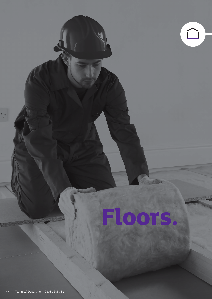# **Floors.**

 $\begin{picture}(20,20) \put(0,0){\line(1,0){10}} \put(15,0){\line(1,0){10}} \put(15,0){\line(1,0){10}} \put(15,0){\line(1,0){10}} \put(15,0){\line(1,0){10}} \put(15,0){\line(1,0){10}} \put(15,0){\line(1,0){10}} \put(15,0){\line(1,0){10}} \put(15,0){\line(1,0){10}} \put(15,0){\line(1,0){10}} \put(15,0){\line(1,0){10}} \put(15,0){\line(1$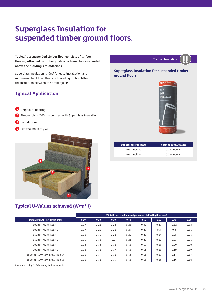## **Superglass Insulation for suspended timber ground floors.**

**Typically a suspended timber floor consists of timber flooring attached to timber joists which are then suspended above the building's foundations.** 

Superglass insulation is ideal for easy installation and minimising heat loss. This is achieved by friction fitting the insulation between the timber joists.

### **Typical Application**

- **1** Chipboard flooring
- 2 Timber joists (400mm centres) with Superglass insulation

- <sup>3</sup> Foundations
- 4 External masonry wall



#### **Typical U-Values achieved (W/m²K)**

|                                 | P/A Ratio (exposed internal perimeter divided by floor area) |      |      |      |      |      |      |      |
|---------------------------------|--------------------------------------------------------------|------|------|------|------|------|------|------|
| Insulation and joist depth (mm) | 0.10                                                         | 0.20 | 0.30 | 0.40 | 0.50 | 0.60 | 0.70 | 0.80 |
| 100mm Multi-Roll 44             | 0.17                                                         | 0.23 | 0.26 | 0.28 | 0.30 | 0.31 | 0.32 | 0.33 |
| 100mm Multi-Roll 40             | 0.17                                                         | 0.22 | 0.25 | 0.27 | 0.29 | 0.3  | 0.3  | 0.31 |
| 150mm Multi-Roll 44             | 0.15                                                         | 0.19 | 0.21 | 0.22 | 0.23 | 0.24 | 0.25 | 0.25 |
| 150mm Multi-Roll 40             | 0.14                                                         | 0.18 | 0.2  | 0.21 | 0.22 | 0.23 | 0.23 | 0.24 |
| 200mm Multi-Roll 44             | 0.13                                                         | 0.16 | 0.18 | 0.18 | 0.19 | 0.20 | 0.20 | 0.20 |
| 200mm Multi-Roll 40             | 0.12                                                         | 0.15 | 0.17 | 0.18 | 0.18 | 0.19 | 0.19 | 0.19 |
| 250mm (100+150) Multi-Roll 44   | 0.11                                                         | 0.14 | 0.15 | 0.16 | 0.16 | 0.17 | 0.17 | 0.17 |
| 250mm (100+150) Multi-Roll 40   | 0.11                                                         | 0.13 | 0.14 | 0.15 | 0.15 | 0.16 | 0.16 | 0.16 |

Calculated using 11% bridging for timber joists.





**Thermal Insulation**

| <b>Superglass Products</b> | <b>Thermal conductivity</b> |
|----------------------------|-----------------------------|
| Multi-Roll 40              | 0.040 W/mK                  |
| Multi-Roll 44              | $0.044$ W/mK                |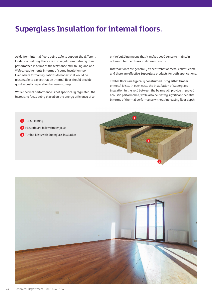## **Superglass Insulation for internal floors.**

Aside from internal floors being able to support the different loads of a building, there are also regulations defining their performance in terms of fire resistance and, in England and Wales, requirements in terms of sound insulation too. Even where formal regulations do not exist, it would be reasonable to expect that an internal floor should provide good acoustic separation between storeys.

While thermal performance is not specifically regulated, the increasing focus being placed on the energy efficiency of an

entire building means that it makes good sense to maintain optimum temperatures in different rooms.

Internal floors are generally either timber or metal construction, and there are effective Superglass products for both applications.

Timber floors are typically constructed using either timber or metal joists. In each case, the installation of Superglass insulation in the void between the beams will provide improved acoustic performance, while also delivering significant benefits in terms of thermal performance without increasing floor depth.